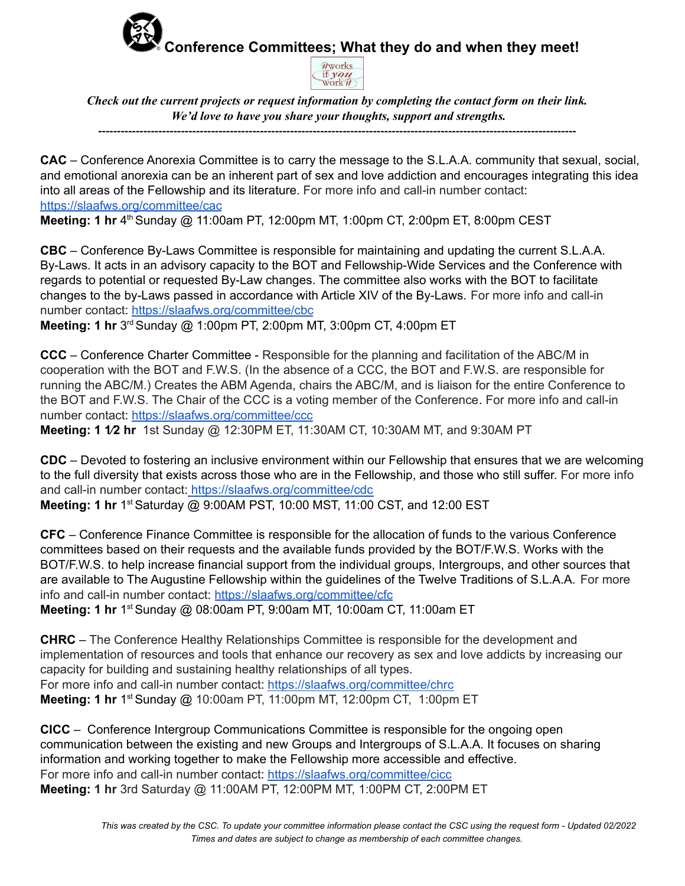## **Conference Committees; What they do and when they meet!**



*Check out the current projects or request information by completing the contact form on their link. We'd love to have you share your thoughts, support and strengths.*

**-------------------------------------------------------------------------------------------------------------------------------**

**CAC** – Conference Anorexia Committee is to carry the message to the S.L.A.A. community that sexual, social, and emotional anorexia can be an inherent part of sex and love addiction and encourages integrating this idea into all areas of the Fellowship and its literature. For more info and call-in number contact: <https://slaafws.org/committee/cac>

**Meeting: 1 hr** 4 th Sunday @ 11:00am PT, 12:00pm MT, 1:00pm CT, 2:00pm ET, 8:00pm CEST

**CBC** – Conference By-Laws Committee is responsible for maintaining and updating the current S.L.A.A. By-Laws. It acts in an advisory capacity to the BOT and Fellowship-Wide Services and the Conference with regards to potential or requested By-Law changes. The committee also works with the BOT to facilitate changes to the by-Laws passed in accordance with Article XIV of the By-Laws. For more info and call-in number contact: [https://slaafws.org/committee/cbc](https://slaafws.org/committee/cac)

**Meeting: 1 hr** 3<sup>rd</sup> Sunday @ 1:00pm PT, 2:00pm MT, 3:00pm CT, 4:00pm ET

**CCC** – Conference Charter Committee - Responsible for the planning and facilitation of the ABC/M in cooperation with the BOT and F.W.S. (In the absence of a CCC, the BOT and F.W.S. are responsible for running the ABC/M.) Creates the ABM Agenda, chairs the ABC/M, and is liaison for the entire Conference to the BOT and F.W.S. The Chair of the CCC is a voting member of the Conference. For more info and call-in number contact: <https://slaafws.org/committee/ccc>

**Meeting: 1 1⁄2 hr** 1st Sunday @ 12:30PM ET, 11:30AM CT, 10:30AM MT, and 9:30AM PT

**CDC** – Devoted to fostering an inclusive environment within our Fellowship that ensures that we are welcoming to the full diversity that exists across those who are in the Fellowship, and those who still suffer. For more info and call-in number contact: <https://slaafws.org/committee/cdc> **Meeting: 1 hr** 1 st Saturday @ 9:00AM PST, 10:00 MST, 11:00 CST, and 12:00 EST

**CFC** – Conference Finance Committee is responsible for the allocation of funds to the various Conference committees based on their requests and the available funds provided by the BOT/F.W.S. Works with the BOT/F.W.S. to help increase financial support from the individual groups, Intergroups, and other sources that are available to The Augustine Fellowship within the guidelines of the Twelve Traditions of S.L.A.A. For more info and call-in number contact: <https://slaafws.org/committee/cfc>

**Meeting: 1 hr** 1 st Sunday @ 08:00am PT, 9:00am MT, 10:00am CT, 11:00am ET

**CHRC** – The Conference Healthy Relationships Committee is responsible for the development and implementation of resources and tools that enhance our recovery as sex and love addicts by increasing our capacity for building and sustaining healthy relationships of all types. For more info and call-in number contact: <https://slaafws.org/committee/chrc>

**Meeting: 1 hr** 1 st Sunday @ 10:00am PT, 11:00pm MT, 12:00pm CT, 1:00pm ET

**CICC** – Conference Intergroup Communications Committee is responsible for the ongoing open communication between the existing and new Groups and Intergroups of S.L.A.A. It focuses on sharing information and working together to make the Fellowship more accessible and effective. For more info and call-in number contact: <https://slaafws.org/committee/cicc> **Meeting: 1 hr** 3rd Saturday @ 11:00AM PT, 12:00PM MT, 1:00PM CT, 2:00PM ET